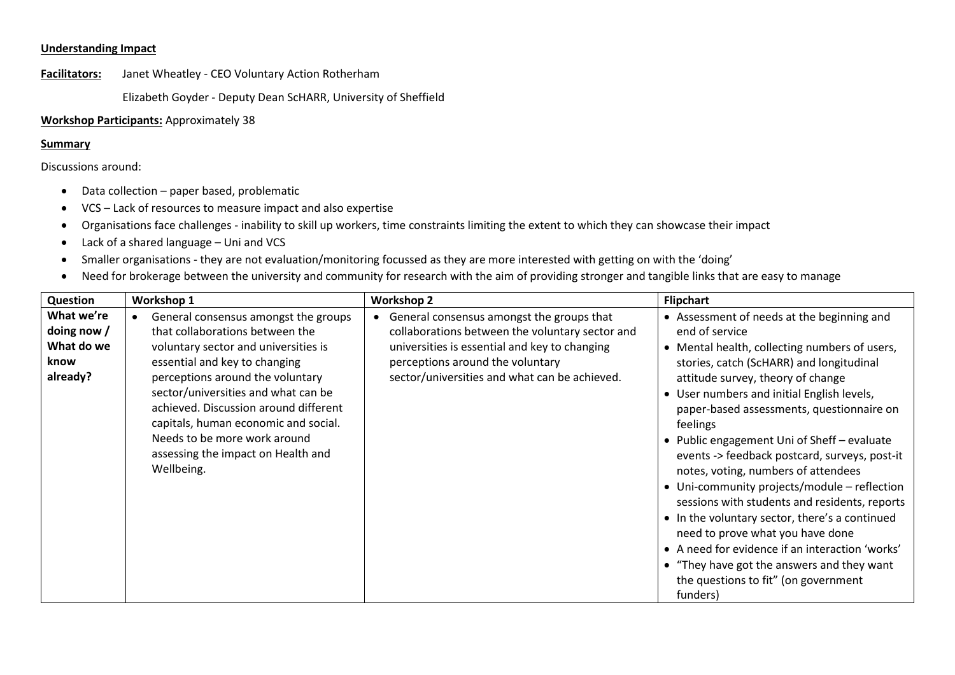## **Understanding Impact**

**Facilitators:** Janet Wheatley - CEO Voluntary Action Rotherham

Elizabeth Goyder - Deputy Dean ScHARR, University of Sheffield

**Workshop Participants:** Approximately 38

## **Summary**

Discussions around:

- Data collection paper based, problematic
- VCS Lack of resources to measure impact and also expertise
- Organisations face challenges inability to skill up workers, time constraints limiting the extent to which they can showcase their impact
- Lack of a shared language Uni and VCS
- Smaller organisations they are not evaluation/monitoring focussed as they are more interested with getting on with the 'doing'
- Need for brokerage between the university and community for research with the aim of providing stronger and tangible links that are easy to manage

| Question                                                      | Workshop 1                                                                                                                                                                                                                                                                                                                                                                                       | <b>Workshop 2</b>                                                                                                                                                                                                                  | <b>Flipchart</b>                                                                                                                                                                                                                                                                                                                                                                                                                                                                                                                                                                                                                                                                                                                                                                       |
|---------------------------------------------------------------|--------------------------------------------------------------------------------------------------------------------------------------------------------------------------------------------------------------------------------------------------------------------------------------------------------------------------------------------------------------------------------------------------|------------------------------------------------------------------------------------------------------------------------------------------------------------------------------------------------------------------------------------|----------------------------------------------------------------------------------------------------------------------------------------------------------------------------------------------------------------------------------------------------------------------------------------------------------------------------------------------------------------------------------------------------------------------------------------------------------------------------------------------------------------------------------------------------------------------------------------------------------------------------------------------------------------------------------------------------------------------------------------------------------------------------------------|
| What we're<br>doing now $/$<br>What do we<br>know<br>already? | General consensus amongst the groups<br>that collaborations between the<br>voluntary sector and universities is<br>essential and key to changing<br>perceptions around the voluntary<br>sector/universities and what can be<br>achieved. Discussion around different<br>capitals, human economic and social.<br>Needs to be more work around<br>assessing the impact on Health and<br>Wellbeing. | General consensus amongst the groups that<br>collaborations between the voluntary sector and<br>universities is essential and key to changing<br>perceptions around the voluntary<br>sector/universities and what can be achieved. | • Assessment of needs at the beginning and<br>end of service<br>• Mental health, collecting numbers of users,<br>stories, catch (ScHARR) and longitudinal<br>attitude survey, theory of change<br>User numbers and initial English levels,<br>paper-based assessments, questionnaire on<br>feelings<br>• Public engagement Uni of Sheff – evaluate<br>events -> feedback postcard, surveys, post-it<br>notes, voting, numbers of attendees<br>• Uni-community projects/module – reflection<br>sessions with students and residents, reports<br>• In the voluntary sector, there's a continued<br>need to prove what you have done<br>• A need for evidence if an interaction 'works'<br>• "They have got the answers and they want<br>the questions to fit" (on government<br>funders) |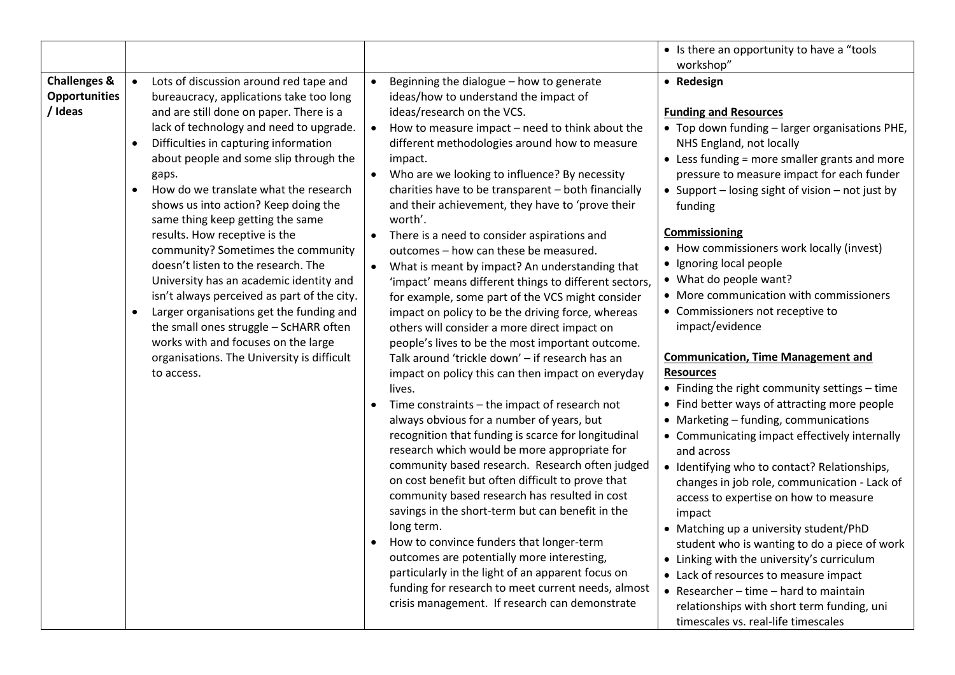|                                                            |                                                                                                                                                                                                                                                                                                                                                                                                                                                                                                                                                                                                                                                                                                                                                                                                        |                                                                                                                                                                                                                                                                                                                                                                                                                                                                                                                                                                                                                                                                                                                                                                                                                                                                                                                                                                                                                                                                                                                                                                                                                                                                                                                                                                                                                                                                                                                                                                                                                                                                                    | • Is there an opportunity to have a "tools"<br>workshop"                                                                                                                                                                                                                                                                                                                                                                                                                                                                                                                                                                                                                                                                                                                                                                                                                                                                                                                                                                                                                                                                                                                                                                                                        |
|------------------------------------------------------------|--------------------------------------------------------------------------------------------------------------------------------------------------------------------------------------------------------------------------------------------------------------------------------------------------------------------------------------------------------------------------------------------------------------------------------------------------------------------------------------------------------------------------------------------------------------------------------------------------------------------------------------------------------------------------------------------------------------------------------------------------------------------------------------------------------|------------------------------------------------------------------------------------------------------------------------------------------------------------------------------------------------------------------------------------------------------------------------------------------------------------------------------------------------------------------------------------------------------------------------------------------------------------------------------------------------------------------------------------------------------------------------------------------------------------------------------------------------------------------------------------------------------------------------------------------------------------------------------------------------------------------------------------------------------------------------------------------------------------------------------------------------------------------------------------------------------------------------------------------------------------------------------------------------------------------------------------------------------------------------------------------------------------------------------------------------------------------------------------------------------------------------------------------------------------------------------------------------------------------------------------------------------------------------------------------------------------------------------------------------------------------------------------------------------------------------------------------------------------------------------------|-----------------------------------------------------------------------------------------------------------------------------------------------------------------------------------------------------------------------------------------------------------------------------------------------------------------------------------------------------------------------------------------------------------------------------------------------------------------------------------------------------------------------------------------------------------------------------------------------------------------------------------------------------------------------------------------------------------------------------------------------------------------------------------------------------------------------------------------------------------------------------------------------------------------------------------------------------------------------------------------------------------------------------------------------------------------------------------------------------------------------------------------------------------------------------------------------------------------------------------------------------------------|
| <b>Challenges &amp;</b><br><b>Opportunities</b><br>/ Ideas | Lots of discussion around red tape and<br>$\bullet$<br>bureaucracy, applications take too long<br>and are still done on paper. There is a<br>lack of technology and need to upgrade.<br>Difficulties in capturing information<br>about people and some slip through the<br>gaps.<br>How do we translate what the research<br>shows us into action? Keep doing the<br>same thing keep getting the same<br>results. How receptive is the<br>community? Sometimes the community<br>doesn't listen to the research. The<br>University has an academic identity and<br>isn't always perceived as part of the city.<br>Larger organisations get the funding and<br>the small ones struggle - ScHARR often<br>works with and focuses on the large<br>organisations. The University is difficult<br>to access. | Beginning the dialogue - how to generate<br>$\bullet$<br>ideas/how to understand the impact of<br>ideas/research on the VCS.<br>How to measure impact - need to think about the<br>different methodologies around how to measure<br>impact.<br>Who are we looking to influence? By necessity<br>$\bullet$<br>charities have to be transparent - both financially<br>and their achievement, they have to 'prove their<br>worth'.<br>There is a need to consider aspirations and<br>outcomes - how can these be measured.<br>What is meant by impact? An understanding that<br>$\bullet$<br>'impact' means different things to different sectors,<br>for example, some part of the VCS might consider<br>impact on policy to be the driving force, whereas<br>others will consider a more direct impact on<br>people's lives to be the most important outcome.<br>Talk around 'trickle down' - if research has an<br>impact on policy this can then impact on everyday<br>lives.<br>Time constraints - the impact of research not<br>$\bullet$<br>always obvious for a number of years, but<br>recognition that funding is scarce for longitudinal<br>research which would be more appropriate for<br>community based research. Research often judged<br>on cost benefit but often difficult to prove that<br>community based research has resulted in cost<br>savings in the short-term but can benefit in the<br>long term.<br>How to convince funders that longer-term<br>outcomes are potentially more interesting,<br>particularly in the light of an apparent focus on<br>funding for research to meet current needs, almost<br>crisis management. If research can demonstrate | • Redesign<br><b>Funding and Resources</b><br>• Top down funding - larger organisations PHE,<br>NHS England, not locally<br>• Less funding = more smaller grants and more<br>pressure to measure impact for each funder<br>• Support - losing sight of vision - not just by<br>funding<br><b>Commissioning</b><br>• How commissioners work locally (invest)<br>• Ignoring local people<br>• What do people want?<br>• More communication with commissioners<br>• Commissioners not receptive to<br>impact/evidence<br><b>Communication, Time Management and</b><br><b>Resources</b><br>• Finding the right community settings - time<br>• Find better ways of attracting more people<br>• Marketing - funding, communications<br>• Communicating impact effectively internally<br>and across<br>• Identifying who to contact? Relationships,<br>changes in job role, communication - Lack of<br>access to expertise on how to measure<br>impact<br>• Matching up a university student/PhD<br>student who is wanting to do a piece of work<br>• Linking with the university's curriculum<br>• Lack of resources to measure impact<br>• Researcher - time - hard to maintain<br>relationships with short term funding, uni<br>timescales vs. real-life timescales |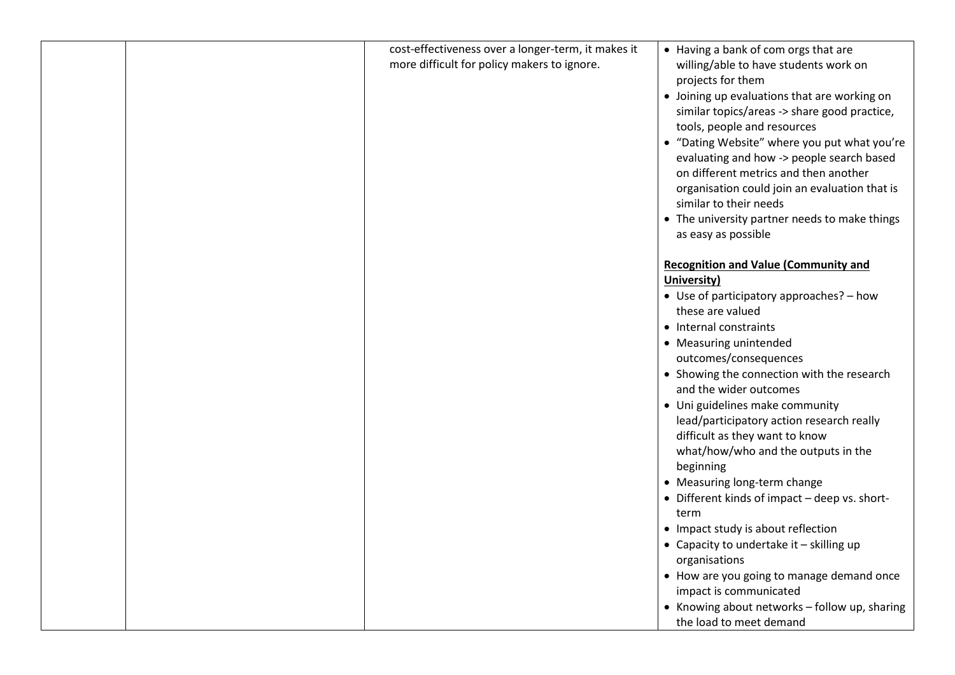| cost-effectiveness over a longer-term, it makes it<br>more difficult for policy makers to ignore. | • Having a bank of com orgs that are<br>willing/able to have students work on<br>projects for them<br>• Joining up evaluations that are working on<br>similar topics/areas -> share good practice,<br>tools, people and resources<br>• "Dating Website" where you put what you're<br>evaluating and how -> people search based<br>on different metrics and then another<br>organisation could join an evaluation that is<br>similar to their needs<br>• The university partner needs to make things<br>as easy as possible                                                                                                                                                                                                                                                                           |
|---------------------------------------------------------------------------------------------------|------------------------------------------------------------------------------------------------------------------------------------------------------------------------------------------------------------------------------------------------------------------------------------------------------------------------------------------------------------------------------------------------------------------------------------------------------------------------------------------------------------------------------------------------------------------------------------------------------------------------------------------------------------------------------------------------------------------------------------------------------------------------------------------------------|
|                                                                                                   | <b>Recognition and Value (Community and</b><br>University)<br>• Use of participatory approaches? - how<br>these are valued<br>• Internal constraints<br>• Measuring unintended<br>outcomes/consequences<br>• Showing the connection with the research<br>and the wider outcomes<br>• Uni guidelines make community<br>lead/participatory action research really<br>difficult as they want to know<br>what/how/who and the outputs in the<br>beginning<br>• Measuring long-term change<br>• Different kinds of impact - deep vs. short-<br>term<br>• Impact study is about reflection<br>• Capacity to undertake it - skilling up<br>organisations<br>• How are you going to manage demand once<br>impact is communicated<br>• Knowing about networks - follow up, sharing<br>the load to meet demand |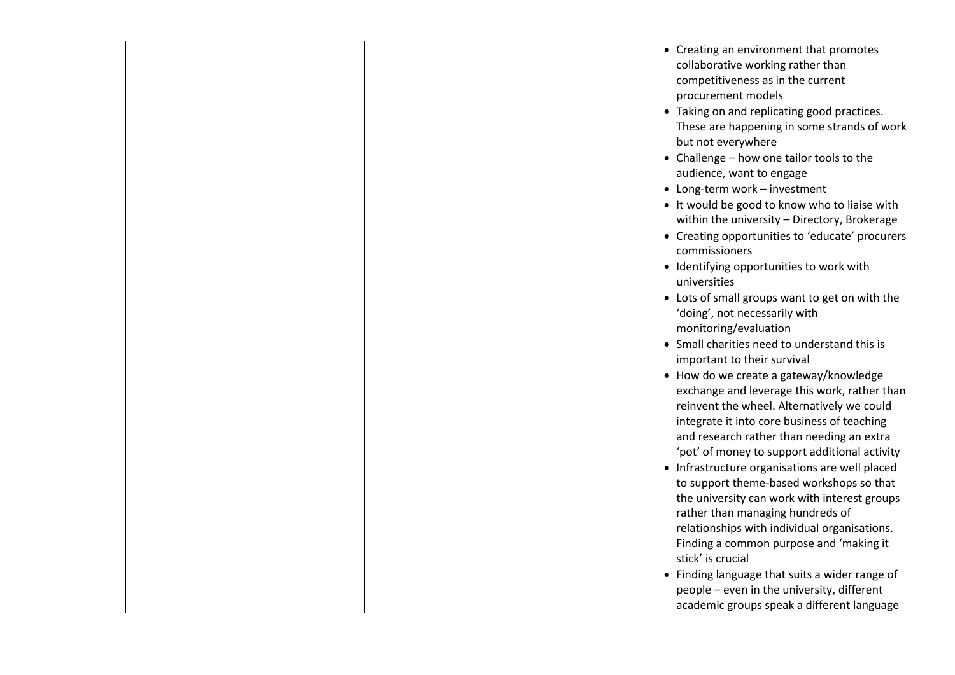|  | • Creating an environment that promotes<br>collaborative working rather than<br>competitiveness as in the current<br>procurement models<br>• Taking on and replicating good practices.<br>These are happening in some strands of work<br>but not everywhere<br>• Challenge - how one tailor tools to the<br>audience, want to engage<br>• Long-term work - investment<br>• It would be good to know who to liaise with<br>within the university - Directory, Brokerage<br>• Creating opportunities to 'educate' procurers<br>commissioners<br>• Identifying opportunities to work with<br>universities<br>• Lots of small groups want to get on with the<br>'doing', not necessarily with<br>monitoring/evaluation<br>• Small charities need to understand this is<br>important to their survival<br>• How do we create a gateway/knowledge<br>exchange and leverage this work, rather than<br>reinvent the wheel. Alternatively we could<br>integrate it into core business of teaching<br>and research rather than needing an extra<br>'pot' of money to support additional activity<br>• Infrastructure organisations are well placed<br>to support theme-based workshops so that<br>the university can work with interest groups<br>rather than managing hundreds of<br>relationships with individual organisations. |
|--|--------------------------------------------------------------------------------------------------------------------------------------------------------------------------------------------------------------------------------------------------------------------------------------------------------------------------------------------------------------------------------------------------------------------------------------------------------------------------------------------------------------------------------------------------------------------------------------------------------------------------------------------------------------------------------------------------------------------------------------------------------------------------------------------------------------------------------------------------------------------------------------------------------------------------------------------------------------------------------------------------------------------------------------------------------------------------------------------------------------------------------------------------------------------------------------------------------------------------------------------------------------------------------------------------------------------------|
|  | Finding a common purpose and 'making it<br>stick' is crucial<br>• Finding language that suits a wider range of<br>people - even in the university, different                                                                                                                                                                                                                                                                                                                                                                                                                                                                                                                                                                                                                                                                                                                                                                                                                                                                                                                                                                                                                                                                                                                                                             |
|  | academic groups speak a different language                                                                                                                                                                                                                                                                                                                                                                                                                                                                                                                                                                                                                                                                                                                                                                                                                                                                                                                                                                                                                                                                                                                                                                                                                                                                               |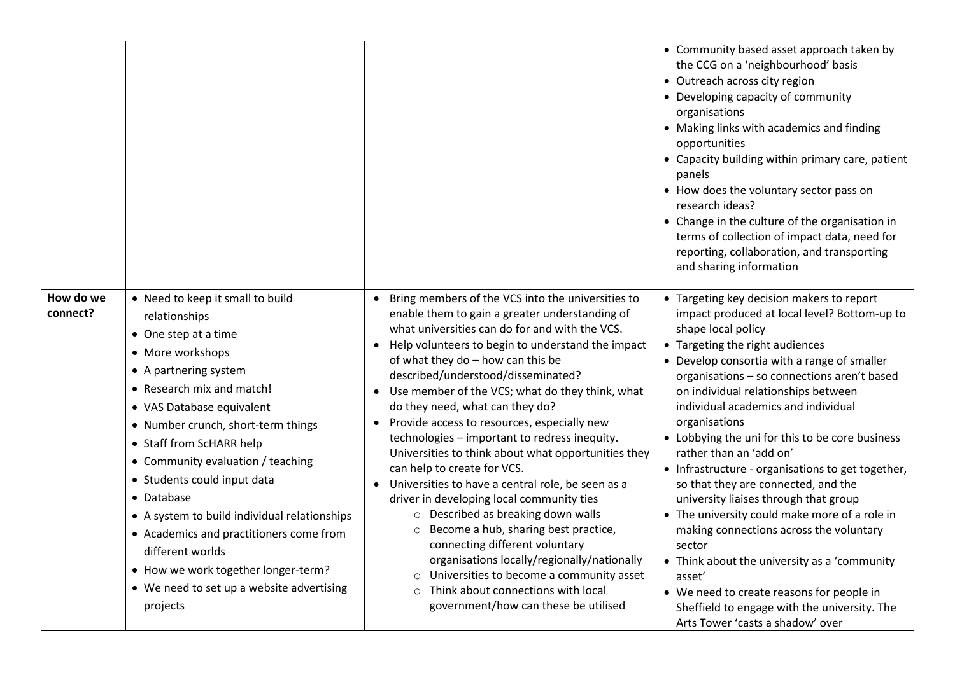|                       |                                                                                                                                                                                                                                                                                                                                                                                                                                                                                                                                                     |                                                                                                                                                                                                                                                                                                                                                                                                                                                                                                                                                                                                                                                                                                                                                                                                                                                                                                                                                                                                       | • Community based asset approach taken by<br>the CCG on a 'neighbourhood' basis<br>• Outreach across city region<br>• Developing capacity of community<br>organisations<br>• Making links with academics and finding<br>opportunities<br>• Capacity building within primary care, patient<br>panels<br>• How does the voluntary sector pass on<br>research ideas?<br>• Change in the culture of the organisation in<br>terms of collection of impact data, need for<br>reporting, collaboration, and transporting<br>and sharing information                                                                                                                                                                                                                                                                                                                        |
|-----------------------|-----------------------------------------------------------------------------------------------------------------------------------------------------------------------------------------------------------------------------------------------------------------------------------------------------------------------------------------------------------------------------------------------------------------------------------------------------------------------------------------------------------------------------------------------------|-------------------------------------------------------------------------------------------------------------------------------------------------------------------------------------------------------------------------------------------------------------------------------------------------------------------------------------------------------------------------------------------------------------------------------------------------------------------------------------------------------------------------------------------------------------------------------------------------------------------------------------------------------------------------------------------------------------------------------------------------------------------------------------------------------------------------------------------------------------------------------------------------------------------------------------------------------------------------------------------------------|---------------------------------------------------------------------------------------------------------------------------------------------------------------------------------------------------------------------------------------------------------------------------------------------------------------------------------------------------------------------------------------------------------------------------------------------------------------------------------------------------------------------------------------------------------------------------------------------------------------------------------------------------------------------------------------------------------------------------------------------------------------------------------------------------------------------------------------------------------------------|
| How do we<br>connect? | • Need to keep it small to build<br>relationships<br>• One step at a time<br>• More workshops<br>• A partnering system<br>• Research mix and match!<br>• VAS Database equivalent<br>• Number crunch, short-term things<br>• Staff from ScHARR help<br>• Community evaluation / teaching<br>• Students could input data<br>• Database<br>• A system to build individual relationships<br>• Academics and practitioners come from<br>different worlds<br>• How we work together longer-term?<br>• We need to set up a website advertising<br>projects | Bring members of the VCS into the universities to<br>enable them to gain a greater understanding of<br>what universities can do for and with the VCS.<br>Help volunteers to begin to understand the impact<br>of what they do - how can this be<br>described/understood/disseminated?<br>Use member of the VCS; what do they think, what<br>do they need, what can they do?<br>Provide access to resources, especially new<br>technologies - important to redress inequity.<br>Universities to think about what opportunities they<br>can help to create for VCS.<br>Universities to have a central role, be seen as a<br>$\bullet$<br>driver in developing local community ties<br>$\circ$ Described as breaking down walls<br>Become a hub, sharing best practice,<br>connecting different voluntary<br>organisations locally/regionally/nationally<br>Universities to become a community asset<br>$\circ$<br>Think about connections with local<br>$\circ$<br>government/how can these be utilised | • Targeting key decision makers to report<br>impact produced at local level? Bottom-up to<br>shape local policy<br>• Targeting the right audiences<br>• Develop consortia with a range of smaller<br>organisations - so connections aren't based<br>on individual relationships between<br>individual academics and individual<br>organisations<br>• Lobbying the uni for this to be core business<br>rather than an 'add on'<br>• Infrastructure - organisations to get together,<br>so that they are connected, and the<br>university liaises through that group<br>• The university could make more of a role in<br>making connections across the voluntary<br>sector<br>• Think about the university as a 'community<br>asset'<br>• We need to create reasons for people in<br>Sheffield to engage with the university. The<br>Arts Tower 'casts a shadow' over |